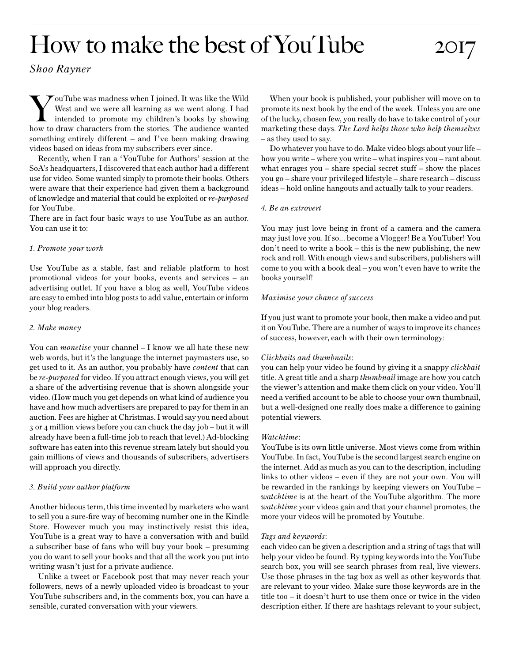# How to make the best of YouTube 2017

*Shoo Rayner*

YouTube was madness when I joined. It was like the Wild<br>West and we were all learning as we went along. I had<br>intended to promote my children's books by showing<br>how to draw characters from the stories. The audience wanted West and we were all learning as we went along. I had intended to promote my children's books by showing how to draw characters from the stories. The audience wanted something entirely different – and I've been making drawing videos based on ideas from my subscribers ever since.

Recently, when I ran a 'YouTube for Authors' session at the SoA's headquarters, I discovered that each author had a different use for video. Some wanted simply to promote their books. Others were aware that their experience had given them a background of knowledge and material that could be exploited or *re-purposed* for YouTube.

There are in fact four basic ways to use YouTube as an author. You can use it to:

# *1. Promote your work*

Use YouTube as a stable, fast and reliable platform to host promotional videos for your books, events and services – an advertising outlet. If you have a blog as well, YouTube videos are easy to embed into blog posts to add value, entertain or inform your blog readers.

## *2. Make money*

You can *monetise* your channel – I know we all hate these new web words, but it's the language the internet paymasters use, so get used to it. As an author, you probably have *content* that can be *re-purposed* for video. If you attract enough views, you will get a share of the advertising revenue that is shown alongside your video. (How much you get depends on what kind of audience you have and how much advertisers are prepared to pay for them in an auction. Fees are higher at Christmas. I would say you need about 3 or 4 million views before you can chuck the day job – but it will already have been a full-time job to reach that level.) Ad-blocking software has eaten into this revenue stream lately but should you gain millions of views and thousands of subscribers, advertisers will approach you directly.

# *3. Build your author platform*

Another hideous term, this time invented by marketers who want to sell you a sure-fire way of becoming number one in the Kindle Store. However much you may instinctively resist this idea, YouTube is a great way to have a conversation with and build a subscriber base of fans who will buy your book – presuming you do want to sell your books and that all the work you put into writing wasn't just for a private audience.

Unlike a tweet or Facebook post that may never reach your followers, news of a newly uploaded video is broadcast to your YouTube subscribers and, in the comments box, you can have a sensible, curated conversation with your viewers.

When your book is published, your publisher will move on to promote its next book by the end of the week. Unless you are one of the lucky, chosen few, you really do have to take control of your marketing these days. *The Lord helps those who help themselves*  – as they used to say.

Do whatever you have to do. Make video blogs about your life – how you write – where you write – what inspires you – rant about what enrages you – share special secret stuff – show the places you go – share your privileged lifestyle – share research – discuss ideas – hold online hangouts and actually talk to your readers.

## *4. Be an extrovert*

You may just love being in front of a camera and the camera may just love you. If so... become a Vlogger! Be a YouTuber! You don't need to write a book – this is the new publishing, the new rock and roll. With enough views and subscribers, publishers will come to you with a book deal – you won't even have to write the books yourself!

# *Maximise your chance of success*

If you just want to promote your book, then make a video and put it on YouTube. There are a number of ways to improve its chances of success, however, each with their own terminology:

# *Clickbaits and thumbnails*:

you can help your video be found by giving it a snappy *clickbait* title. A great title and a sharp *thumbnail* image are how you catch the viewer's attention and make them click on your video. You'll need a verified account to be able to choose your own thumbnail, but a well-designed one really does make a difference to gaining potential viewers.

### *Watchtime*:

YouTube is its own little universe. Most views come from within YouTube. In fact, YouTube is the second largest search engine on the internet. Add as much as you can to the description, including links to other videos – even if they are not your own. You will be rewarded in the rankings by keeping viewers on YouTube – *watchtime* is at the heart of the YouTube algorithm. The more *watchtime* your videos gain and that your channel promotes, the more your videos will be promoted by Youtube.

### *Tags and keywords*:

each video can be given a description and a string of tags that will help your video be found. By typing keywords into the YouTube search box, you will see search phrases from real, live viewers. Use those phrases in the tag box as well as other keywords that are relevant to your video. Make sure those keywords are in the title too – it doesn't hurt to use them once or twice in the video description either. If there are hashtags relevant to your subject,